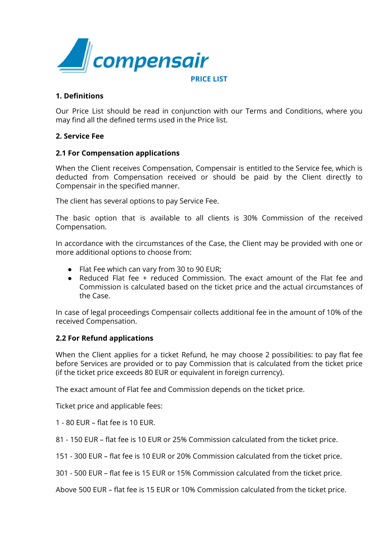

# **1. Definitions**

Our Price List should be read in conjunction with our Terms and Conditions, where you may find all the defined terms used in the Price list.

### **2. Service Fee**

### **2.1 For Compensation applications**

When the Client receives Compensation, Compensair is entitled to the Service fee, which is deducted from Compensation received or should be paid by the Client directly to Compensair in the specified manner.

The client has several options to pay Service Fee.

The basic option that is available to all clients is 30% Commission of the received Compensation.

In accordance with the circumstances of the Case, the Client may be provided with one or more additional options to choose from:

- Flat Fee which can vary from 30 to 90 EUR;
- Reduced Flat fee + reduced Commission. The exact amount of the Flat fee and Commission is calculated based on the ticket price and the actual circumstances of the Case.

In case of legal proceedings Compensair collects additional fee in the amount of 10% of the received Compensation.

## **2.2 For Refund applications**

When the Client applies for a ticket Refund, he may choose 2 possibilities: to pay flat fee before Services are provided or to pay Commission that is calculated from the ticket price (if the ticket price exceeds 80 EUR or equivalent in foreign currency).

The exact amount of Flat fee and Commission depends on the ticket price.

Ticket price and applicable fees:

- 1 80 EUR flat fee is 10 EUR.
- 81 150 EUR flat fee is 10 EUR or 25% Commission calculated from the ticket price.
- 151 300 EUR flat fee is 10 EUR or 20% Commission calculated from the ticket price.
- 301 500 EUR flat fee is 15 EUR or 15% Commission calculated from the ticket price.

Above 500 EUR – flat fee is 15 EUR or 10% Commission calculated from the ticket price.